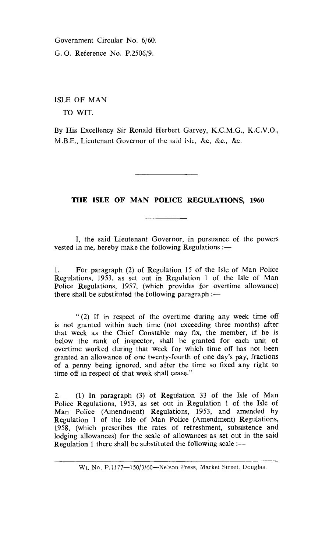Government Circular No. 6/60. G. **0.** Reference No. P.2506/9.

ISLE OF MAN

TO WIT.

By His Excellency Sir Ronald Herbert Garvey, K.C.M.G., K.C.V.O., M.B.E., Lieutenant Governor of the said Isle, &c, &c., &c.

## **THE ISLE OF MAN POLICE REGULATIONS, 1960**

I, the said Lieutenant Governor, in pursuance of the powers vested in me, hereby make the following Regulations :—

1. For paragraph (2) of Regulation 15 of the Isle of Man Police Regulations, 1953, as set out in Regulation 1 of the Isle of Man Police Regulations, 1957, (which provides for overtime allowance) there shall be substituted the following paragraph :—

" (2) If in respect of the overtime during any week time off is not granted within such time (not exceeding three months) after that week as the Chief Constable may fix, the member, if he is below the rank of inspector, shall be granted for each unit of overtime worked during that week for which time off has not been granted an allowance of one twenty-fourth of one day's pay, fractions of a penny being ignored, and after the time so fixed any right to time off in respect of that week shall cease."

2. (1) In paragraph (3) of Regulation 33 of the Isle of Man Police Regulations, 1953, as set out in Regulation 1 of the Isle of Man Police (Amendment) Regulations, 1953, and amended by Regulation 1 of the Isle of Man Police (Amendment) Regulations, 1958, (which prescribes the rates of refreshment, subsistence and lodging allowances) for the scale of allowances as set out in the said Regulation 1 there shall be substituted the following scale :—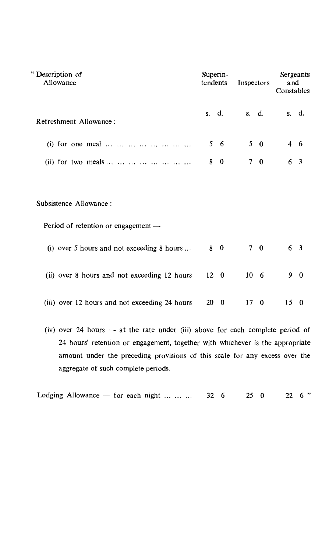| "Description of<br>Allowance                                  | Superin-<br>tendents | Inspectors                 | Sergeants<br>and<br>Constables |
|---------------------------------------------------------------|----------------------|----------------------------|--------------------------------|
| Refreshment Allowance:                                        | s. d.                | s. d.                      | s. d.                          |
| (i) for one meal                                              | 5 6                  | $5\quad 0$                 | 4 6                            |
| (ii) for two meals                                            | $\bf{0}$<br>8        | 7 <sup>1</sup><br>$\bf{0}$ | 3<br>6                         |
| Subsistence Allowance:<br>Period of retention or engagement — |                      |                            |                                |
| (i) over 5 hours and not exceeding 8 hours                    | 8 0                  | 70                         | 6 <sup>3</sup>                 |
| (ii) over 8 hours and not exceeding 12 hours                  | $12 \quad 0$         | 10 <sub>6</sub>            | 9<br>- 0                       |
| (iii) over 12 hours and not exceeding 24 hours                | 20<br>$\mathbf{0}$   | 17<br>- 0                  | 15<br>$\mathbf{0}$             |

(iv) over 24 hours — at the rate under (iii) above for each complete period of 24 hours' retention or engagement, together with whichever is the appropriate amount under the preceding provisions of this scale for any excess over the aggregate of such complete periods.

| Lodging Allowance — for each night $\therefore$ 32 6 25 0 22 6" |  |  |  |
|-----------------------------------------------------------------|--|--|--|
|-----------------------------------------------------------------|--|--|--|